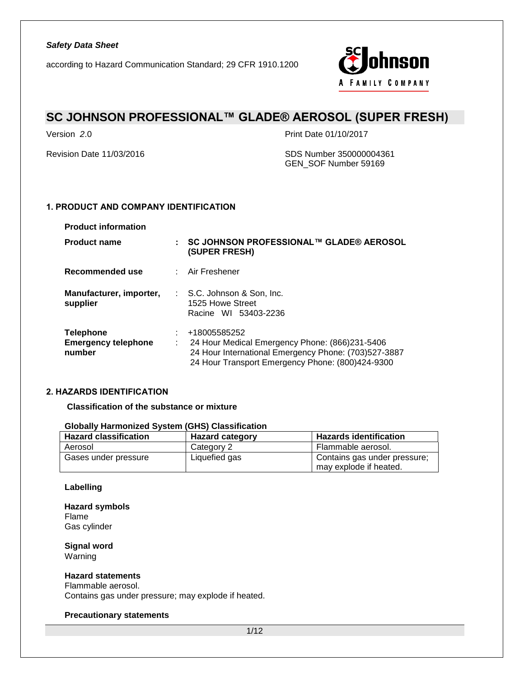

## **SC JOHNSON PROFESSIONAL™ GLADE® AEROSOL (SUPER FRESH)**

Version *2*.0 Print Date 01/10/2017

Revision Date 11/03/2016 SDS Number 350000004361 GEN\_SOF Number 59169

**Product name : SC JOHNSON PROFESSIONAL™ GLADE® AEROSOL** 

## **1. PRODUCT AND COMPANY IDENTIFICATION**

| <b>Product information</b>          |                                                                        |
|-------------------------------------|------------------------------------------------------------------------|
| <b>Product name</b>                 | $\pm$ SC JOHNSON PROFESSIONAL™<br>(SUPER FRESH)                        |
| Recommended use                     | : Air Freshener                                                        |
| Manufacturer, importer,<br>supplier | : S.C. Johnson & Son, Inc.<br>1525 Howe Street<br>Racine WI 53403-2236 |

| <b>Telephone</b>           | +18005585252                                         |
|----------------------------|------------------------------------------------------|
| <b>Emergency telephone</b> | 24 Hour Medical Emergency Phone: (866)231-5406       |
| number                     | 24 Hour International Emergency Phone: (703)527-3887 |
|                            | 24 Hour Transport Emergency Phone: (800)424-9300     |

## **2. HAZARDS IDENTIFICATION**

**Classification of the substance or mixture**

### **Globally Harmonized System (GHS) Classification**

| <b>Hazard classification</b> | <b>Hazard category</b> | <b>Hazards identification</b>                          |
|------------------------------|------------------------|--------------------------------------------------------|
| Aerosol                      | Category 2             | Flammable aerosol.                                     |
| Gases under pressure         | Liquefied gas          | Contains gas under pressure;<br>may explode if heated. |

## **Labelling**

**Hazard symbols** Flame Gas cylinder

**Signal word** Warning

### **Hazard statements**

Flammable aerosol. Contains gas under pressure; may explode if heated.

### **Precautionary statements**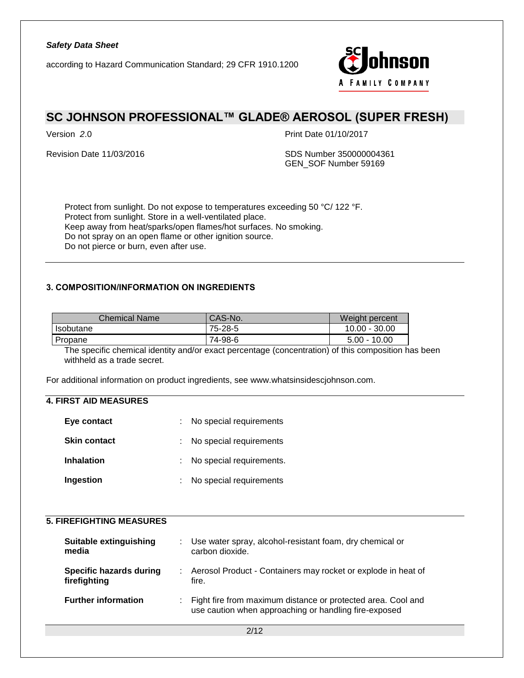according to Hazard Communication Standard; 29 CFR 1910.1200



## **SC JOHNSON PROFESSIONAL™ GLADE® AEROSOL (SUPER FRESH)**

Version *2*.0 Print Date 01/10/2017

Revision Date 11/03/2016 SDS Number 350000004361 GEN\_SOF Number 59169

Protect from sunlight. Do not expose to temperatures exceeding 50 °C/ 122 °F. Protect from sunlight. Store in a well-ventilated place. Keep away from heat/sparks/open flames/hot surfaces. No smoking. Do not spray on an open flame or other ignition source. Do not pierce or burn, even after use.

### **3. COMPOSITION/INFORMATION ON INGREDIENTS**

| Chemical Name | <b>CAS-No.</b> | Weight percent  |
|---------------|----------------|-----------------|
| I Isobutane   | 75-28-5        | $10.00 - 30.00$ |
| Propane       | 74-98-6        | $5.00 - 10.00$  |

The specific chemical identity and/or exact percentage (concentration) of this composition has been withheld as a trade secret.

For additional information on product ingredients, see www.whatsinsidescjohnson.com.

## **4. FIRST AID MEASURES**

| Eye contact         | : No special requirements  |
|---------------------|----------------------------|
| <b>Skin contact</b> | : No special requirements  |
| <b>Inhalation</b>   | : No special requirements. |
| Ingestion           | No special requirements    |

#### **5. FIREFIGHTING MEASURES**

| Suitable extinguishing<br>media         | : Use water spray, alcohol-resistant foam, dry chemical or<br>carbon dioxide.                                           |
|-----------------------------------------|-------------------------------------------------------------------------------------------------------------------------|
| Specific hazards during<br>firefighting | : Aerosol Product - Containers may rocket or explode in heat of<br>fire.                                                |
| <b>Further information</b>              | : Fight fire from maximum distance or protected area. Cool and<br>use caution when approaching or handling fire-exposed |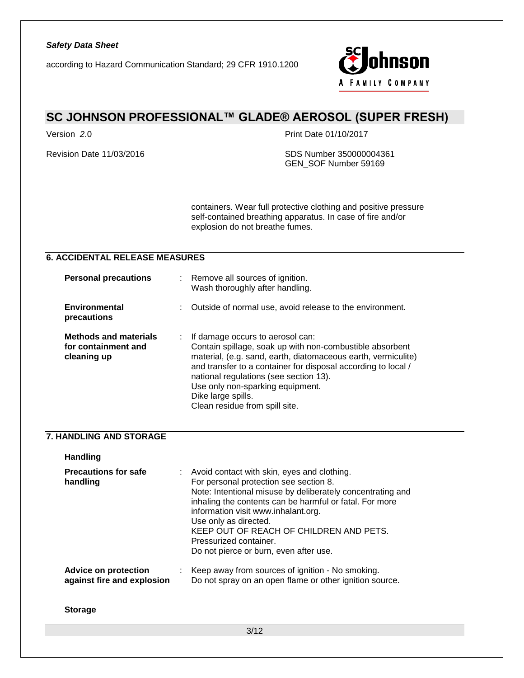

## **SC JOHNSON PROFESSIONAL™ GLADE® AEROSOL (SUPER FRESH)**

Version *2*.0 Print Date 01/10/2017

Revision Date 11/03/2016 SDS Number 350000004361 GEN\_SOF Number 59169

> containers. Wear full protective clothing and positive pressure self-contained breathing apparatus. In case of fire and/or explosion do not breathe fumes.

## **6. ACCIDENTAL RELEASE MEASURES**

| <b>Personal precautions</b>                                        |    | Remove all sources of ignition.<br>Wash thoroughly after handling.                                                                                                                                                                                                                                                                                                   |
|--------------------------------------------------------------------|----|----------------------------------------------------------------------------------------------------------------------------------------------------------------------------------------------------------------------------------------------------------------------------------------------------------------------------------------------------------------------|
| Environmental<br>precautions                                       | t. | Outside of normal use, avoid release to the environment.                                                                                                                                                                                                                                                                                                             |
| <b>Methods and materials</b><br>for containment and<br>cleaning up |    | If damage occurs to aerosol can:<br>Contain spillage, soak up with non-combustible absorbent<br>material, (e.g. sand, earth, diatomaceous earth, vermiculite)<br>and transfer to a container for disposal according to local /<br>national regulations (see section 13).<br>Use only non-sparking equipment.<br>Dike large spills.<br>Clean residue from spill site. |

### **7. HANDLING AND STORAGE**

| <b>Handling</b>                                    |                                                                                                                                                                                                                                                                                                                                                                                                 |
|----------------------------------------------------|-------------------------------------------------------------------------------------------------------------------------------------------------------------------------------------------------------------------------------------------------------------------------------------------------------------------------------------------------------------------------------------------------|
| <b>Precautions for safe</b><br>handling            | : Avoid contact with skin, eyes and clothing.<br>For personal protection see section 8.<br>Note: Intentional misuse by deliberately concentrating and<br>inhaling the contents can be harmful or fatal. For more<br>information visit www.inhalant.org.<br>Use only as directed.<br>KEEP OUT OF REACH OF CHILDREN AND PETS.<br>Pressurized container.<br>Do not pierce or burn, even after use. |
| Advice on protection<br>against fire and explosion | : Keep away from sources of ignition - No smoking.<br>Do not spray on an open flame or other ignition source.                                                                                                                                                                                                                                                                                   |

**Storage**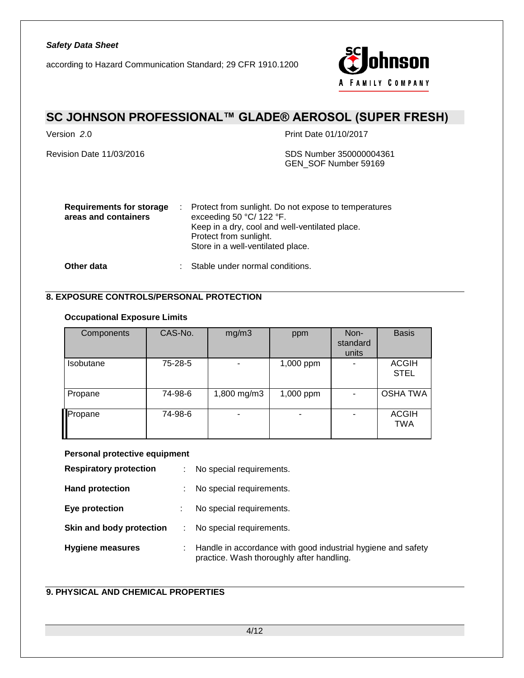according to Hazard Communication Standard; 29 CFR 1910.1200



# **SC JOHNSON PROFESSIONAL™ GLADE® AEROSOL (SUPER FRESH)**

Version *2*.0 Print Date 01/10/2017

Revision Date 11/03/2016 SDS Number 350000004361 GEN\_SOF Number 59169

| <b>Requirements for storage</b><br>areas and containers | : Protect from sunlight. Do not expose to temperatures<br>exceeding 50 $°C/122$ °F.<br>Keep in a dry, cool and well-ventilated place.<br>Protect from sunlight.<br>Store in a well-ventilated place. |
|---------------------------------------------------------|------------------------------------------------------------------------------------------------------------------------------------------------------------------------------------------------------|
| Other data                                              | : Stable under normal conditions.                                                                                                                                                                    |

## **8. EXPOSURE CONTROLS/PERSONAL PROTECTION**

## **Occupational Exposure Limits**

| Components | CAS-No. | mg/m3       | ppm       | Non-<br>standard<br>units | <b>Basis</b>                |
|------------|---------|-------------|-----------|---------------------------|-----------------------------|
| Isobutane  | 75-28-5 | ۰           | 1,000 ppm | -                         | <b>ACGIH</b><br><b>STEL</b> |
| Propane    | 74-98-6 | 1,800 mg/m3 | 1,000 ppm |                           | <b>OSHA TWA</b>             |
| Propane    | 74-98-6 | ۰           |           |                           | <b>ACGIH</b><br><b>TWA</b>  |

#### **Personal protective equipment**

| <b>Respiratory protection</b> | ÷ | No special requirements.                                                                                  |
|-------------------------------|---|-----------------------------------------------------------------------------------------------------------|
| <b>Hand protection</b>        |   | No special requirements.                                                                                  |
| Eye protection                |   | No special requirements.                                                                                  |
| Skin and body protection      |   | No special requirements.                                                                                  |
| <b>Hygiene measures</b>       | ÷ | Handle in accordance with good industrial hygiene and safety<br>practice. Wash thoroughly after handling. |

## **9. PHYSICAL AND CHEMICAL PROPERTIES**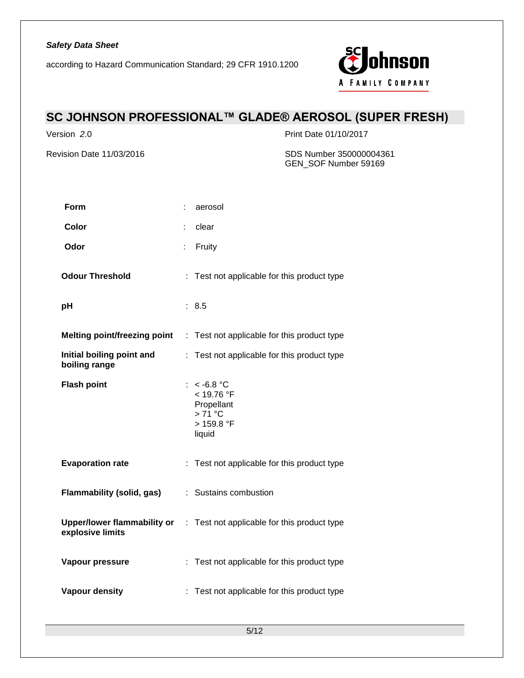

# **SC JOHNSON PROFESSIONAL™ GLADE® AEROSOL (SUPER FRESH)**

Version *2*.0 Print Date 01/10/2017

Revision Date 11/03/2016 SDS Number 350000004361 GEN\_SOF Number 59169

| Form                                       |    | aerosol                                                                              |
|--------------------------------------------|----|--------------------------------------------------------------------------------------|
| Color                                      |    | clear                                                                                |
| Odor                                       | t  | Fruity                                                                               |
| <b>Odour Threshold</b>                     |    | : Test not applicable for this product type                                          |
| pH                                         |    | : 8.5                                                                                |
|                                            |    | <b>Melting point/freezing point : Test not applicable for this product type</b>      |
| Initial boiling point and<br>boiling range | ÷. | Test not applicable for this product type                                            |
| <b>Flash point</b>                         |    | : $< -6.8$ °C<br>< 19.76 °F<br>Propellant<br>$>71^{\circ}$ C<br>> 159.8 °F<br>liquid |
| <b>Evaporation rate</b>                    |    | : Test not applicable for this product type                                          |
| <b>Flammability (solid, gas)</b>           |    | : Sustains combustion                                                                |
| explosive limits                           |    | Upper/lower flammability or : Test not applicable for this product type              |
| Vapour pressure                            |    | : Test not applicable for this product type                                          |
| Vapour density                             |    | Test not applicable for this product type                                            |
|                                            |    |                                                                                      |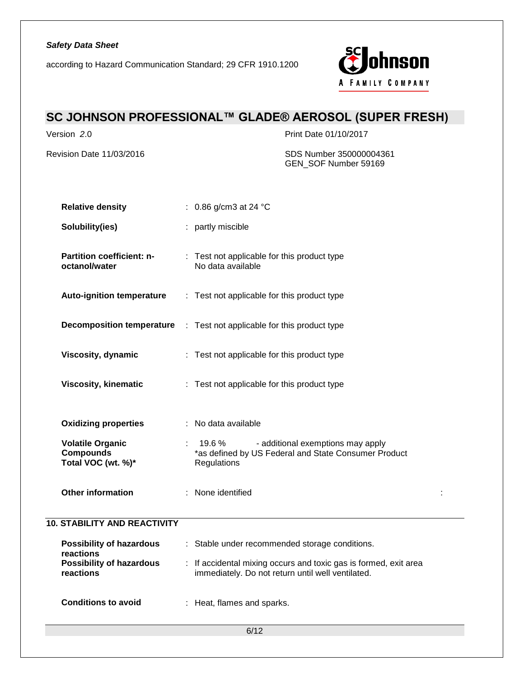according to Hazard Communication Standard; 29 CFR 1910.1200



# **SC JOHNSON PROFESSIONAL™ GLADE® AEROSOL (SUPER FRESH)**

Version *2*.0 Print Date 01/10/2017

Revision Date 11/03/2016 SDS Number 350000004361 GEN\_SOF Number 59169

| <b>Relative density</b>                                           | : $0.86$ g/cm3 at 24 °C                                                                                                |  |
|-------------------------------------------------------------------|------------------------------------------------------------------------------------------------------------------------|--|
| Solubility(ies)                                                   | : partly miscible                                                                                                      |  |
| Partition coefficient: n-<br>octanol/water                        | : Test not applicable for this product type<br>No data available                                                       |  |
| <b>Auto-ignition temperature</b>                                  | : Test not applicable for this product type                                                                            |  |
| <b>Decomposition temperature</b>                                  | : Test not applicable for this product type                                                                            |  |
| Viscosity, dynamic                                                | : Test not applicable for this product type                                                                            |  |
| <b>Viscosity, kinematic</b>                                       | : Test not applicable for this product type                                                                            |  |
| <b>Oxidizing properties</b>                                       | : No data available                                                                                                    |  |
| <b>Volatile Organic</b><br><b>Compounds</b><br>Total VOC (wt. %)* | $: 19.6\%$<br>- additional exemptions may apply<br>*as defined by US Federal and State Consumer Product<br>Regulations |  |
| <b>Other information</b>                                          | : None identified                                                                                                      |  |
| <b>10. STABILITY AND REACTIVITY</b>                               |                                                                                                                        |  |
| <b>Possibility of hazardous</b><br>reactions                      | : Stable under recommended storage conditions.                                                                         |  |
| <b>Possibility of hazardous</b><br>reactions                      | : If accidental mixing occurs and toxic gas is formed, exit area<br>immediately. Do not return until well ventilated.  |  |
| <b>Conditions to avoid</b>                                        | : Heat, flames and sparks.                                                                                             |  |
|                                                                   | 6/12                                                                                                                   |  |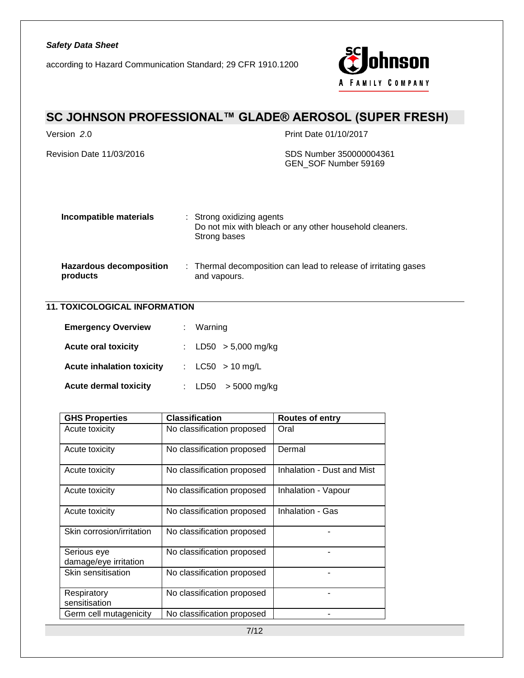

# **SC JOHNSON PROFESSIONAL™ GLADE® AEROSOL (SUPER FRESH)**

Version *2*.0 Print Date 01/10/2017

Revision Date 11/03/2016 SDS Number 350000004361 GEN\_SOF Number 59169

| Incompatible materials                     | : Strong oxidizing agents<br>Do not mix with bleach or any other household cleaners.<br>Strong bases |
|--------------------------------------------|------------------------------------------------------------------------------------------------------|
| <b>Hazardous decomposition</b><br>products | : Thermal decomposition can lead to release of irritating gases<br>and vapours.                      |

## **11. TOXICOLOGICAL INFORMATION**

| <b>Emergency Overview</b>        | : Warning              |
|----------------------------------|------------------------|
| <b>Acute oral toxicity</b>       | : LD50 $> 5,000$ mg/kg |
| <b>Acute inhalation toxicity</b> | : $LC50 > 10$ mg/L     |
| <b>Acute dermal toxicity</b>     | : LD50 $>$ 5000 mg/kg  |

| <b>GHS Properties</b>                | <b>Classification</b>      | <b>Routes of entry</b>     |
|--------------------------------------|----------------------------|----------------------------|
| Acute toxicity                       | No classification proposed | Oral                       |
| Acute toxicity                       | No classification proposed | Dermal                     |
| Acute toxicity                       | No classification proposed | Inhalation - Dust and Mist |
| Acute toxicity                       | No classification proposed | Inhalation - Vapour        |
| Acute toxicity                       | No classification proposed | Inhalation - Gas           |
| Skin corrosion/irritation            | No classification proposed |                            |
| Serious eye<br>damage/eye irritation | No classification proposed |                            |
| Skin sensitisation                   | No classification proposed |                            |
| Respiratory<br>sensitisation         | No classification proposed |                            |
| Germ cell mutagenicity               | No classification proposed |                            |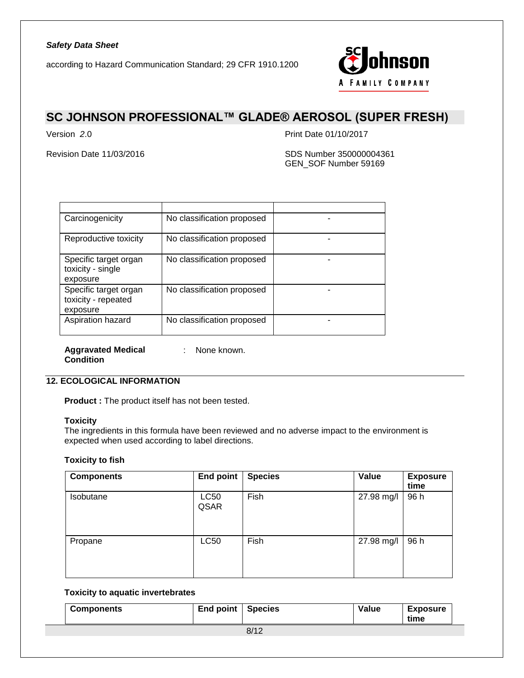according to Hazard Communication Standard; 29 CFR 1910.1200



## **SC JOHNSON PROFESSIONAL™ GLADE® AEROSOL (SUPER FRESH)**

Version *2*.0 Print Date 01/10/2017

Revision Date 11/03/2016 SDS Number 350000004361 GEN\_SOF Number 59169

| Carcinogenicity                                          | No classification proposed |  |
|----------------------------------------------------------|----------------------------|--|
| Reproductive toxicity                                    | No classification proposed |  |
| Specific target organ<br>toxicity - single<br>exposure   | No classification proposed |  |
| Specific target organ<br>toxicity - repeated<br>exposure | No classification proposed |  |
| Aspiration hazard                                        | No classification proposed |  |

**Aggravated Medical**  : None known. **Condition**

## **12. ECOLOGICAL INFORMATION**

**Product :** The product itself has not been tested.

## **Toxicity**

The ingredients in this formula have been reviewed and no adverse impact to the environment is expected when used according to label directions.

#### **Toxicity to fish**

| <b>Components</b> | <b>End point</b>    | <b>Species</b> | Value      | <b>Exposure</b><br>time |
|-------------------|---------------------|----------------|------------|-------------------------|
| Isobutane         | <b>LC50</b><br>QSAR | Fish           | 27.98 mg/l | 96 h                    |
| Propane           | <b>LC50</b>         | Fish           | 27.98 mg/l | 96 h                    |

#### **Toxicity to aquatic invertebrates**

| <b>Components</b> | End point | <b>Species</b> | Value | <b>Exposure</b><br>time |
|-------------------|-----------|----------------|-------|-------------------------|
|                   |           | 8/12           |       |                         |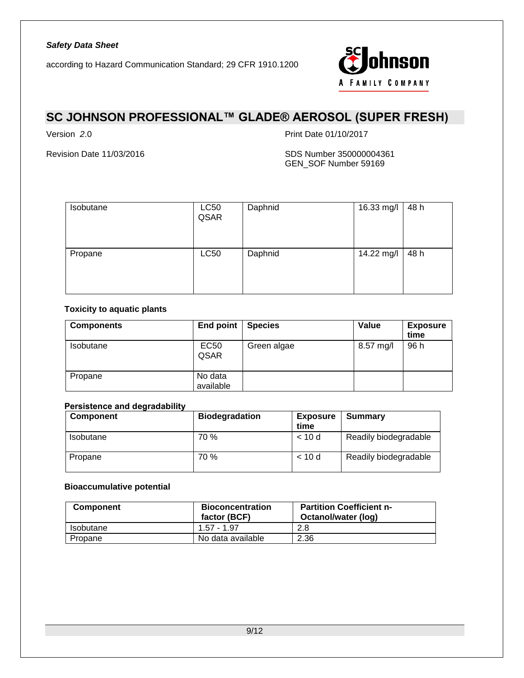

# **SC JOHNSON PROFESSIONAL™ GLADE® AEROSOL (SUPER FRESH)**

Version *2*.0 Print Date 01/10/2017

Revision Date 11/03/2016 SDS Number 350000004361 GEN\_SOF Number 59169

| Isobutane | <b>LC50</b><br>QSAR | Daphnid | 16.33 mg/l | 48 h |
|-----------|---------------------|---------|------------|------|
| Propane   | <b>LC50</b>         | Daphnid | 14.22 mg/l | 48 h |

## **Toxicity to aquatic plants**

| <b>Components</b> | End point   Species  |             | Value     | <b>Exposure</b><br>time |
|-------------------|----------------------|-------------|-----------|-------------------------|
| <b>Isobutane</b>  | <b>EC50</b><br>QSAR  | Green algae | 8.57 mg/l | 96 h                    |
| Propane           | No data<br>available |             |           |                         |

## **Persistence and degradability**

| <b>Component</b> | <b>Biodegradation</b> | <b>Exposure</b><br>time | Summary               |
|------------------|-----------------------|-------------------------|-----------------------|
| Isobutane        | 70 %                  | < 10d                   | Readily biodegradable |
| Propane          | 70 %                  | < 10d                   | Readily biodegradable |

## **Bioaccumulative potential**

| <b>Component</b> | <b>Bioconcentration</b><br>factor (BCF) | <b>Partition Coefficient n-</b><br>Octanol/water (log) |
|------------------|-----------------------------------------|--------------------------------------------------------|
| <b>Isobutane</b> | $1.57 - 1.97$                           | 2.8                                                    |
| Propane          | No data available                       | 2.36                                                   |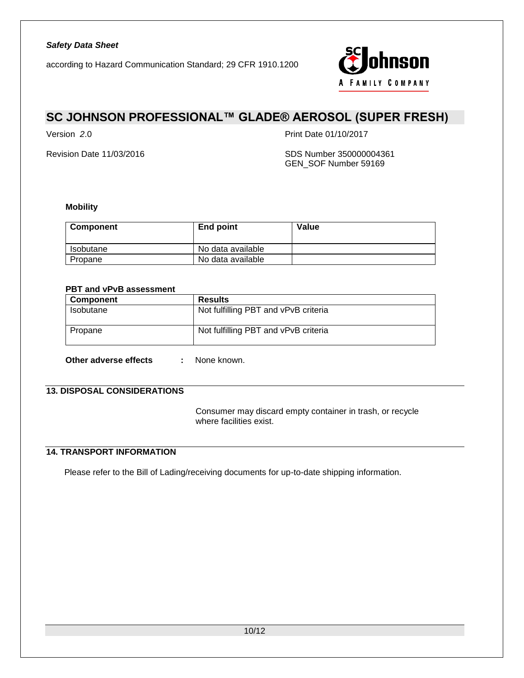

# **SC JOHNSON PROFESSIONAL™ GLADE® AEROSOL (SUPER FRESH)**

Version *2*.0 Print Date 01/10/2017

Revision Date 11/03/2016 SDS Number 350000004361 GEN\_SOF Number 59169

### **Mobility**

| Component | End point         | Value |
|-----------|-------------------|-------|
| Isobutane | No data available |       |
| Propane   | No data available |       |

## **PBT and vPvB assessment**

| Results                              |
|--------------------------------------|
| Not fulfilling PBT and vPvB criteria |
| Not fulfilling PBT and vPvB criteria |
|                                      |

**Other adverse effects :** None known.

## **13. DISPOSAL CONSIDERATIONS**

Consumer may discard empty container in trash, or recycle where facilities exist.

## **14. TRANSPORT INFORMATION**

Please refer to the Bill of Lading/receiving documents for up-to-date shipping information.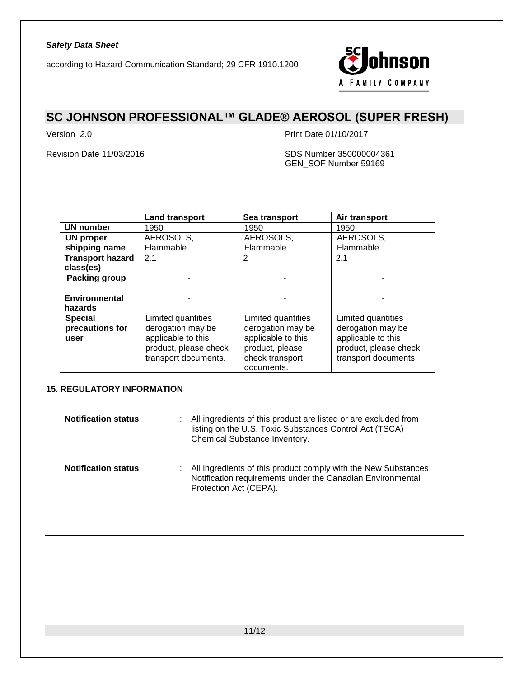

# **SC JOHNSON PROFESSIONAL™ GLADE® AEROSOL (SUPER FRESH)**

Version *2*.0 Print Date 01/10/2017

Revision Date 11/03/2016 SDS Number 350000004361 GEN\_SOF Number 59169

|                         | <b>Land transport</b> | Sea transport      | Air transport         |  |
|-------------------------|-----------------------|--------------------|-----------------------|--|
| <b>UN number</b>        | 1950                  | 1950               | 1950                  |  |
| UN proper               | AEROSOLS,             | AEROSOLS,          | AEROSOLS,             |  |
| shipping name           | Flammable             | Flammable          | Flammable             |  |
| <b>Transport hazard</b> | 2.1                   | 2                  | 2.1                   |  |
| class(es)               |                       |                    |                       |  |
| <b>Packing group</b>    |                       |                    |                       |  |
|                         |                       |                    |                       |  |
| Environmental           |                       |                    |                       |  |
| hazards                 |                       |                    |                       |  |
| <b>Special</b>          | Limited quantities    | Limited quantities | Limited quantities    |  |
| precautions for         | derogation may be     | derogation may be  | derogation may be     |  |
| user                    | applicable to this    | applicable to this | applicable to this    |  |
|                         | product, please check | product, please    | product, please check |  |
|                         | transport documents.  | check transport    | transport documents.  |  |
|                         |                       | documents.         |                       |  |

## **15. REGULATORY INFORMATION**

| <b>Notification status</b> | : All ingredients of this product are listed or are excluded from<br>listing on the U.S. Toxic Substances Control Act (TSCA)<br>Chemical Substance Inventory. |
|----------------------------|---------------------------------------------------------------------------------------------------------------------------------------------------------------|
| <b>Notification status</b> | : All ingredients of this product comply with the New Substances<br>Notification requirements under the Canadian Environmental<br>Protection Act (CEPA).      |